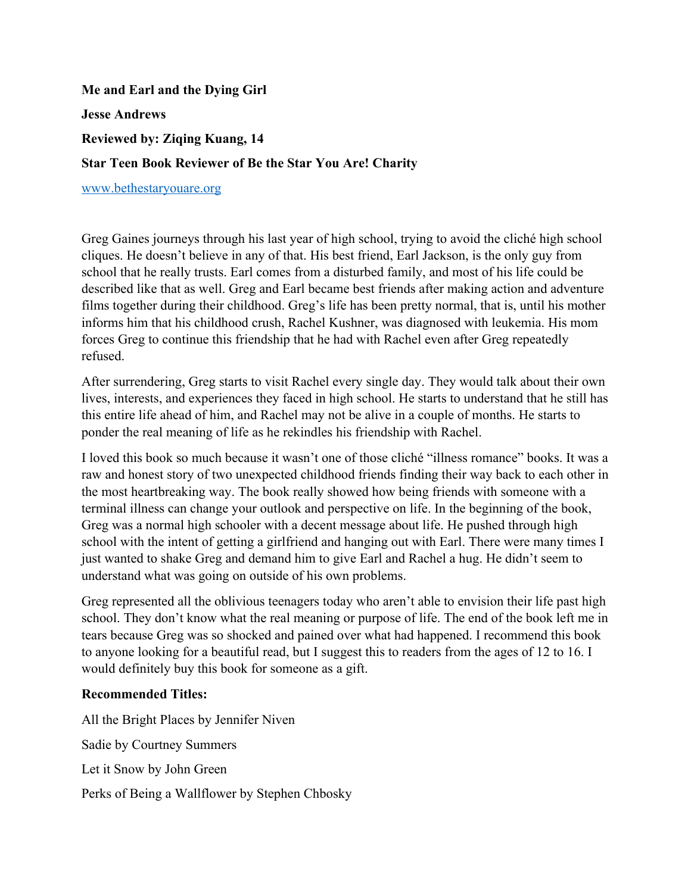## **Me and Earl and the Dying Girl Jesse Andrews Reviewed by: Ziqing Kuang, 14 Star Teen Book Reviewer of Be the Star You Are! Charity**

www.bethestaryouare.org

Greg Gaines journeys through his last year of high school, trying to avoid the cliché high school cliques. He doesn't believe in any of that. His best friend, Earl Jackson, is the only guy from school that he really trusts. Earl comes from a disturbed family, and most of his life could be described like that as well. Greg and Earl became best friends after making action and adventure films together during their childhood. Greg's life has been pretty normal, that is, until his mother informs him that his childhood crush, Rachel Kushner, was diagnosed with leukemia. His mom forces Greg to continue this friendship that he had with Rachel even after Greg repeatedly refused.

After surrendering, Greg starts to visit Rachel every single day. They would talk about their own lives, interests, and experiences they faced in high school. He starts to understand that he still has this entire life ahead of him, and Rachel may not be alive in a couple of months. He starts to ponder the real meaning of life as he rekindles his friendship with Rachel.

I loved this book so much because it wasn't one of those cliché "illness romance" books. It was a raw and honest story of two unexpected childhood friends finding their way back to each other in the most heartbreaking way. The book really showed how being friends with someone with a terminal illness can change your outlook and perspective on life. In the beginning of the book, Greg was a normal high schooler with a decent message about life. He pushed through high school with the intent of getting a girlfriend and hanging out with Earl. There were many times I just wanted to shake Greg and demand him to give Earl and Rachel a hug. He didn't seem to understand what was going on outside of his own problems.

Greg represented all the oblivious teenagers today who aren't able to envision their life past high school. They don't know what the real meaning or purpose of life. The end of the book left me in tears because Greg was so shocked and pained over what had happened. I recommend this book to anyone looking for a beautiful read, but I suggest this to readers from the ages of 12 to 16. I would definitely buy this book for someone as a gift.

## **Recommended Titles:**

All the Bright Places by Jennifer Niven Sadie by Courtney Summers Let it Snow by John Green Perks of Being a Wallflower by Stephen Chbosky